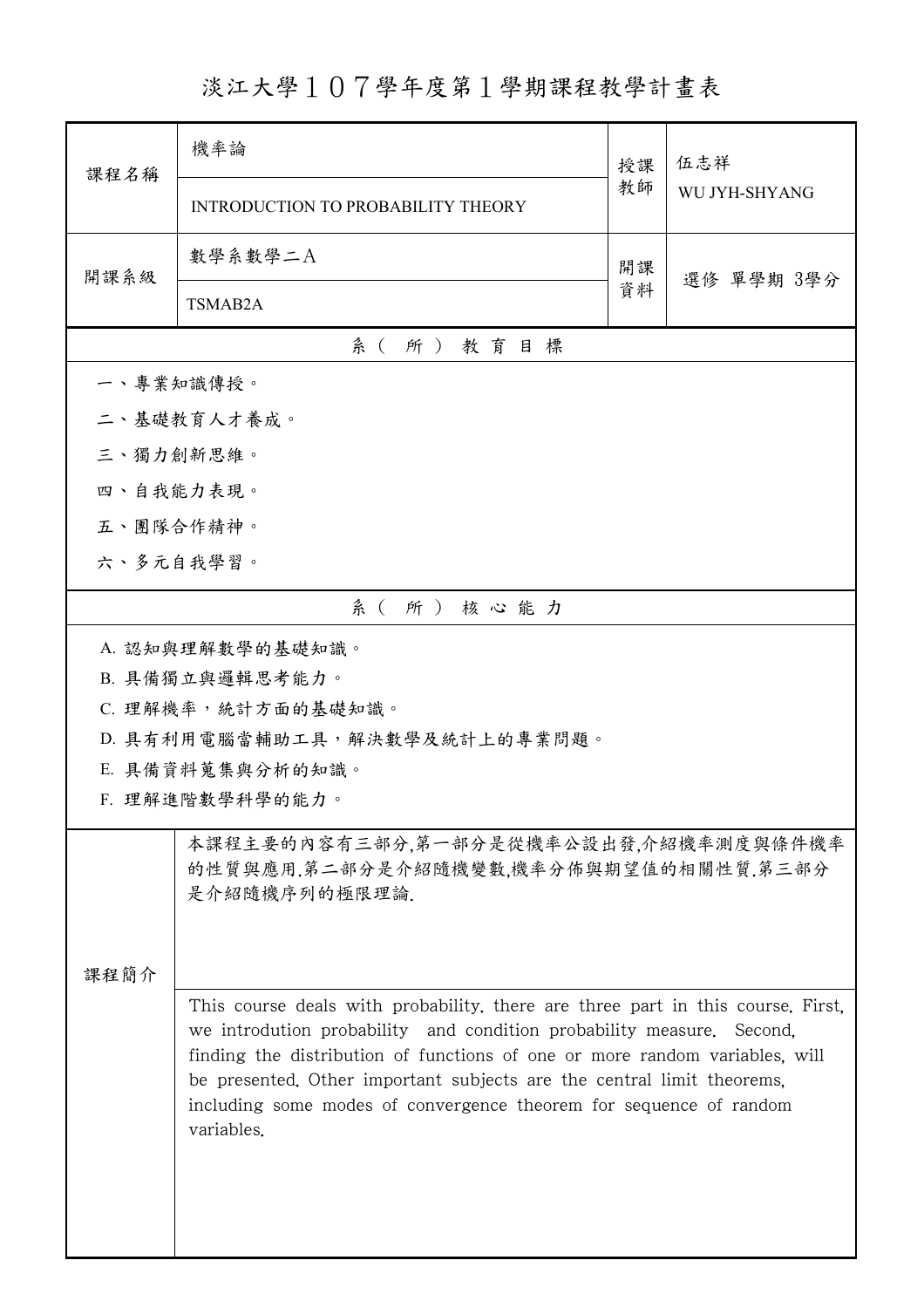淡江大學107學年度第1學期課程教學計畫表

| 課程名稱                          | 機率論                                                                                                                                                                                                                                                                                                                                                                                                           | 授課 | 伍志祥<br>WU JYH-SHYANG |  |  |
|-------------------------------|---------------------------------------------------------------------------------------------------------------------------------------------------------------------------------------------------------------------------------------------------------------------------------------------------------------------------------------------------------------------------------------------------------------|----|----------------------|--|--|
|                               | INTRODUCTION TO PROBABILITY THEORY                                                                                                                                                                                                                                                                                                                                                                            | 教師 |                      |  |  |
| 開課系級                          | 數學系數學二A                                                                                                                                                                                                                                                                                                                                                                                                       | 開課 |                      |  |  |
|                               | TSMAB2A                                                                                                                                                                                                                                                                                                                                                                                                       | 資料 | 選修 單學期 3學分           |  |  |
| 系(所)教育目標                      |                                                                                                                                                                                                                                                                                                                                                                                                               |    |                      |  |  |
|                               | 一、專業知識傳授。                                                                                                                                                                                                                                                                                                                                                                                                     |    |                      |  |  |
|                               | 二、基礎教育人才養成。                                                                                                                                                                                                                                                                                                                                                                                                   |    |                      |  |  |
| 三、獨力創新思維。                     |                                                                                                                                                                                                                                                                                                                                                                                                               |    |                      |  |  |
| 四、自我能力表現。                     |                                                                                                                                                                                                                                                                                                                                                                                                               |    |                      |  |  |
| 五、團隊合作精神。                     |                                                                                                                                                                                                                                                                                                                                                                                                               |    |                      |  |  |
| 六、多元自我學習。                     |                                                                                                                                                                                                                                                                                                                                                                                                               |    |                      |  |  |
|                               | 系(所)核心能力                                                                                                                                                                                                                                                                                                                                                                                                      |    |                      |  |  |
|                               | A. 認知與理解數學的基礎知識。                                                                                                                                                                                                                                                                                                                                                                                              |    |                      |  |  |
|                               | B. 具備獨立與邏輯思考能力。                                                                                                                                                                                                                                                                                                                                                                                               |    |                      |  |  |
|                               | C. 理解機率,統計方面的基礎知識。                                                                                                                                                                                                                                                                                                                                                                                            |    |                      |  |  |
| D. 具有利用電腦當輔助工具,解決數學及統計上的專業問題。 |                                                                                                                                                                                                                                                                                                                                                                                                               |    |                      |  |  |
|                               | E. 具備資料蒐集與分析的知識。<br>F. 理解進階數學科學的能力。                                                                                                                                                                                                                                                                                                                                                                           |    |                      |  |  |
|                               |                                                                                                                                                                                                                                                                                                                                                                                                               |    |                      |  |  |
|                               | 本課程主要的內容有三部分,第一部分是從機率公設出發,介紹機率測度與條件機率<br>的性質與應用.第二部分是介紹隨機變數,機率分佈與期望值的相關性質.第三部分<br>是介紹隨機序列的極限理論.                                                                                                                                                                                                                                                                                                               |    |                      |  |  |
|                               |                                                                                                                                                                                                                                                                                                                                                                                                               |    |                      |  |  |
|                               | 課程簡介<br>This course deals with probability, there are three part in this course. First,<br>we introdution probability and condition probability measure. Second,<br>finding the distribution of functions of one or more random variables, will<br>be presented. Other important subjects are the central limit theorems,<br>including some modes of convergence theorem for sequence of random<br>variables. |    |                      |  |  |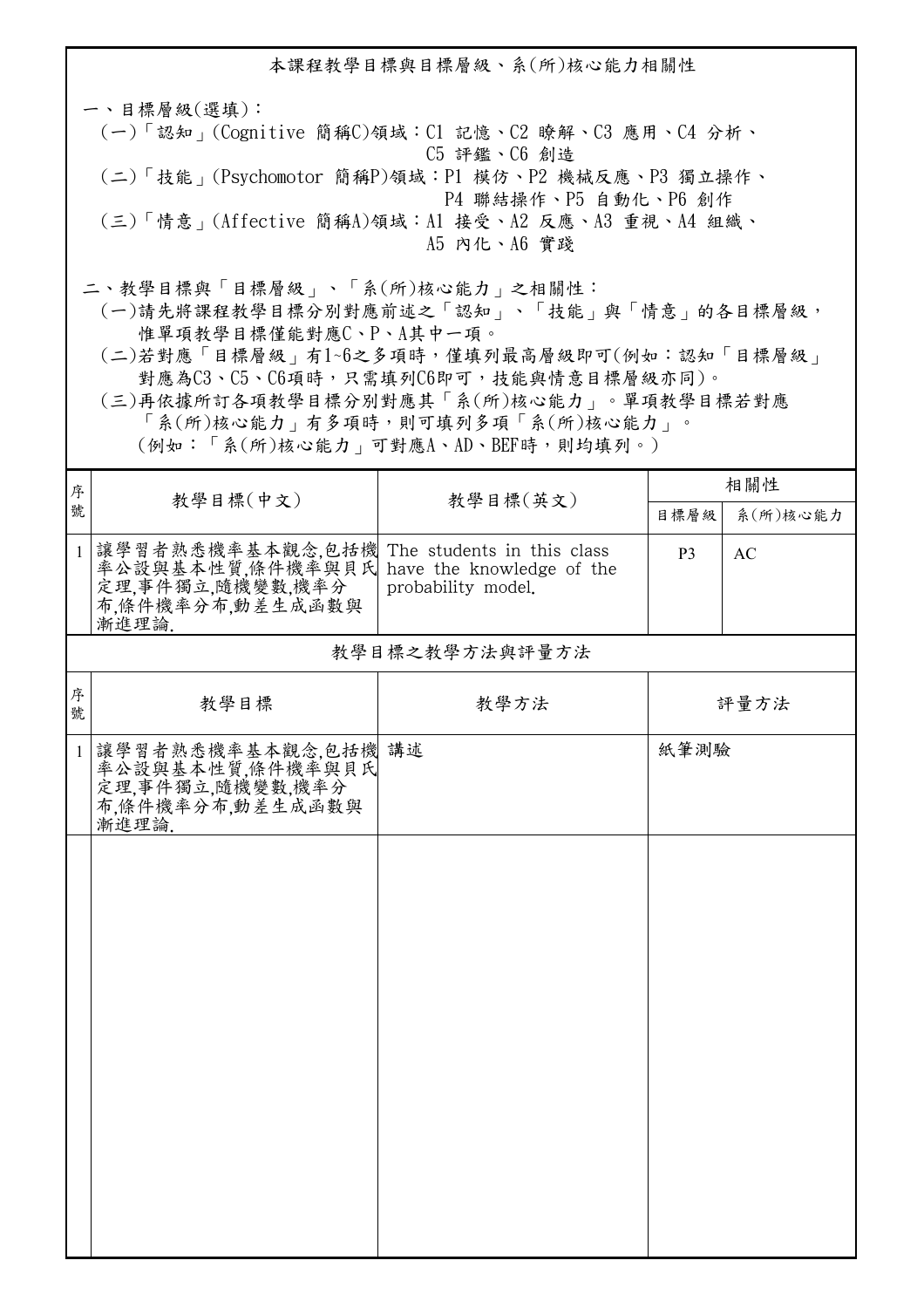本課程教學目標與目標層級、系(所)核心能力相關性 一、目標層級(選填): (一)「認知」(Cognitive 簡稱C)領域:C1 記憶、C2 瞭解、C3 應用、C4 分析、 C5 評鑑、C6 創造 (二)「技能」(Psychomotor 簡稱P)領域:P1 模仿、P2 機械反應、P3 獨立操作、 P4 聯結操作、P5 自動化、P6 創作 (三)「情意」(Affective 簡稱A)領域:A1 接受、A2 反應、A3 重視、A4 組織、 A5 內化、A6 實踐 二、教學目標與「目標層級」、「系(所)核心能力」之相關性: (一)請先將課程教學目標分別對應前述之「認知」、「技能」與「情意」的各目標層級, 惟單項教學目標僅能對應C、P、A其中一項。

 (二)若對應「目標層級」有1~6之多項時,僅填列最高層級即可(例如:認知「目標層級」 對應為C3、C5、C6項時,只需填列C6即可,技能與情意目標層級亦同)。

 (三)再依據所訂各項教學目標分別對應其「系(所)核心能力」。單項教學目標若對應 「系(所)核心能力」有多項時,則可填列多項「系(所)核心能力」。

(例如:「系(所)核心能力」可對應A、AD、BEF時,則均填列。)

| 序<br>教學目標(中文)<br>教學目標(英文)<br>號<br>系(所)核心能力<br>目標層級<br>讓學習者熟悉機率基本觀念,包括機<br>The students in this class<br>$\mathbf{1}$<br><b>AC</b><br>P <sub>3</sub><br>率公設與基本性質,條件機率與貝氏<br>have the knowledge of the<br>定理,事件獨立,隨機變數,機率分<br>probability model.<br>布,條件機率分布,動差生成函數與<br>漸進理論<br>教學目標之教學方法與評量方法<br>序<br>教學目標<br>教學方法<br>評量方法<br>號<br>紙筆測驗<br>讓學習者熟悉機率基本觀念,包括機 講述<br>率公設與基本性質,條件機率與貝氏<br>$\mathbf{1}$<br>定理,事件獨立,隨機變數,機率分 | 相關性 |  |  |  |  |  |  |
|-----------------------------------------------------------------------------------------------------------------------------------------------------------------------------------------------------------------------------------------------------------------------------------------------------------------------------------------------------------------------------------------------------------------------|-----|--|--|--|--|--|--|
|                                                                                                                                                                                                                                                                                                                                                                                                                       |     |  |  |  |  |  |  |
|                                                                                                                                                                                                                                                                                                                                                                                                                       |     |  |  |  |  |  |  |
|                                                                                                                                                                                                                                                                                                                                                                                                                       |     |  |  |  |  |  |  |
|                                                                                                                                                                                                                                                                                                                                                                                                                       |     |  |  |  |  |  |  |
| 布,條件機率分布,動差生成函數與<br>漸進理論                                                                                                                                                                                                                                                                                                                                                                                              |     |  |  |  |  |  |  |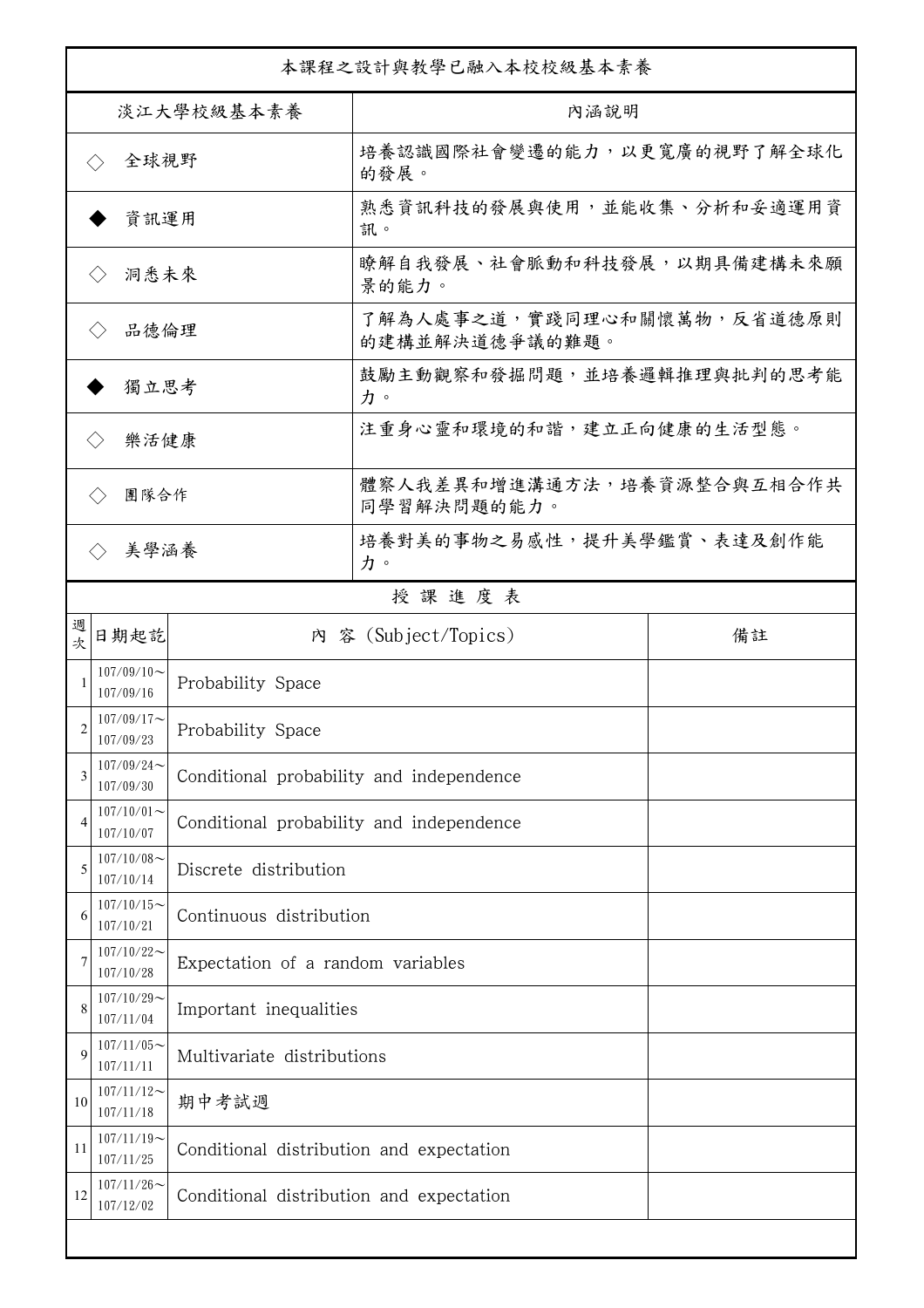|                                        | 本課程之設計與教學已融入本校校級基本素養        |                                          |                                              |    |  |  |
|----------------------------------------|-----------------------------|------------------------------------------|----------------------------------------------|----|--|--|
| 淡江大學校級基本素養                             |                             |                                          | 內涵說明                                         |    |  |  |
| 全球視野<br>$\left\langle \ \right\rangle$ |                             |                                          | 培養認識國際社會變遷的能力,以更寬廣的視野了解全球化<br>的發展。           |    |  |  |
| 資訊運用                                   |                             |                                          | 熟悉資訊科技的發展與使用,並能收集、分析和妥適運用資<br>訊。             |    |  |  |
|                                        | 洞悉未來<br>$\langle \ \rangle$ |                                          | 瞭解自我發展、社會脈動和科技發展,以期具備建構未來願<br>景的能力。          |    |  |  |
| 品德倫理                                   |                             |                                          | 了解為人處事之道,實踐同理心和關懷萬物,反省道德原則<br>的建構並解決道德爭議的難題。 |    |  |  |
| 獨立思考                                   |                             |                                          | 鼓勵主動觀察和發掘問題,並培養邏輯推理與批判的思考能<br>力。             |    |  |  |
|                                        | 樂活健康<br>$\langle \ \rangle$ |                                          | 注重身心靈和環境的和諧,建立正向健康的生活型態。                     |    |  |  |
|                                        | 團隊合作<br>$\langle \ \rangle$ |                                          | 體察人我差異和增進溝通方法,培養資源整合與互相合作共<br>同學習解決問題的能力。    |    |  |  |
|                                        | 美學涵養<br>$\langle \rangle$   |                                          | 培養對美的事物之易感性,提升美學鑑賞、表達及創作能<br>力。              |    |  |  |
|                                        |                             |                                          | 授課進度表                                        |    |  |  |
| 週<br>欤                                 | 日期起訖                        |                                          | 內 容 (Subject/Topics)                         | 備註 |  |  |
|                                        | $107/09/10$ ~<br>107/09/16  | Probability Space                        |                                              |    |  |  |
| 2                                      | $107/09/17$ ~<br>107/09/23  | Probability Space                        |                                              |    |  |  |
| 3                                      | $107/09/24$ ~<br>107/09/30  | Conditional probability and independence |                                              |    |  |  |
| $\overline{4}$                         | $107/10/01$ ~<br>107/10/07  | Conditional probability and independence |                                              |    |  |  |
| 5                                      | $107/10/08$ ~<br>107/10/14  | Discrete distribution                    |                                              |    |  |  |
| 6                                      | $107/10/15$ ~<br>107/10/21  | Continuous distribution                  |                                              |    |  |  |
|                                        | $107/10/22$ ~<br>107/10/28  | Expectation of a random variables        |                                              |    |  |  |
| 8                                      | $107/10/29$ ~<br>107/11/04  | Important inequalities                   |                                              |    |  |  |
| 9                                      | $107/11/05$ ~<br>107/11/11  | Multivariate distributions               |                                              |    |  |  |
| 10                                     | $107/11/12$ ~<br>107/11/18  | 期中考試週                                    |                                              |    |  |  |
| 11                                     | $107/11/19$ ~<br>107/11/25  | Conditional distribution and expectation |                                              |    |  |  |
| 12                                     | $107/11/26$ ~<br>107/12/02  | Conditional distribution and expectation |                                              |    |  |  |
|                                        |                             |                                          |                                              |    |  |  |